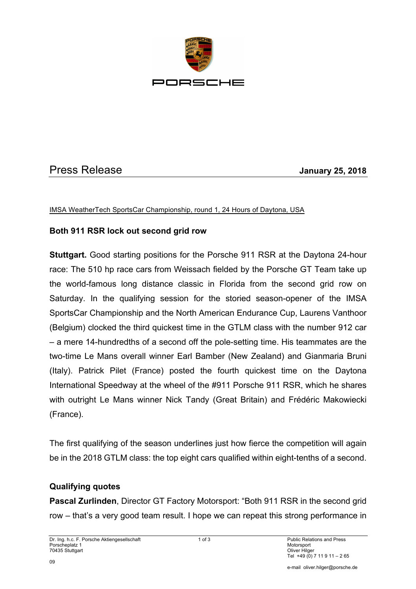

# Press Release **January 25, 2018**

#### IMSA WeatherTech SportsCar Championship, round 1, 24 Hours of Daytona, USA

#### **Both 911 RSR lock out second grid row**

**Stuttgart.** Good starting positions for the Porsche 911 RSR at the Daytona 24-hour race: The 510 hp race cars from Weissach fielded by the Porsche GT Team take up the world-famous long distance classic in Florida from the second grid row on Saturday. In the qualifying session for the storied season-opener of the IMSA SportsCar Championship and the North American Endurance Cup, Laurens Vanthoor (Belgium) clocked the third quickest time in the GTLM class with the number 912 car – a mere 14-hundredths of a second off the pole-setting time. His teammates are the two-time Le Mans overall winner Earl Bamber (New Zealand) and Gianmaria Bruni (Italy). Patrick Pilet (France) posted the fourth quickest time on the Daytona International Speedway at the wheel of the #911 Porsche 911 RSR, which he shares with outright Le Mans winner Nick Tandy (Great Britain) and Frédéric Makowiecki (France).

The first qualifying of the season underlines just how fierce the competition will again be in the 2018 GTLM class: the top eight cars qualified within eight-tenths of a second.

#### **Qualifying quotes**

**Pascal Zurlinden**, Director GT Factory Motorsport: "Both 911 RSR in the second grid row – that's a very good team result. I hope we can repeat this strong performance in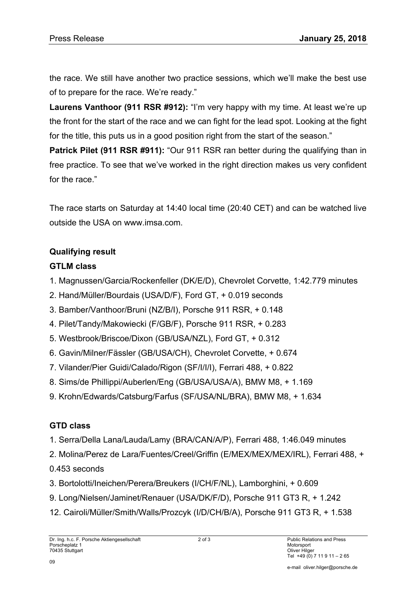the race. We still have another two practice sessions, which we'll make the best use of to prepare for the race. We're ready."

**Laurens Vanthoor (911 RSR #912):** "I'm very happy with my time. At least we're up the front for the start of the race and we can fight for the lead spot. Looking at the fight for the title, this puts us in a good position right from the start of the season."

**Patrick Pilet (911 RSR #911):** "Our 911 RSR ran better during the qualifying than in free practice. To see that we've worked in the right direction makes us very confident for the race."

The race starts on Saturday at 14:40 local time (20:40 CET) and can be watched live outside the USA on www.imsa.com.

### **Qualifying result**

## **GTLM class**

- 1. Magnussen/Garcia/Rockenfeller (DK/E/D), Chevrolet Corvette, 1:42.779 minutes
- 2. Hand/Müller/Bourdais (USA/D/F), Ford GT, + 0.019 seconds
- 3. Bamber/Vanthoor/Bruni (NZ/B/I), Porsche 911 RSR, + 0.148
- 4. Pilet/Tandy/Makowiecki (F/GB/F), Porsche 911 RSR, + 0.283
- 5. Westbrook/Briscoe/Dixon (GB/USA/NZL), Ford GT, + 0.312
- 6. Gavin/Milner/Fässler (GB/USA/CH), Chevrolet Corvette, + 0.674
- 7. Vilander/Pier Guidi/Calado/Rigon (SF/I/I/I), Ferrari 488, + 0.822
- 8. Sims/de Phillippi/Auberlen/Eng (GB/USA/USA/A), BMW M8, + 1.169
- 9. Krohn/Edwards/Catsburg/Farfus (SF/USA/NL/BRA), BMW M8, + 1.634

## **GTD class**

- 1. Serra/Della Lana/Lauda/Lamy (BRA/CAN/A/P), Ferrari 488, 1:46.049 minutes
- 2. Molina/Perez de Lara/Fuentes/Creel/Griffin (E/MEX/MEX/MEX/IRL), Ferrari 488, +
- 0.453 seconds
- 3. Bortolotti/Ineichen/Perera/Breukers (I/CH/F/NL), Lamborghini, + 0.609
- 9. Long/Nielsen/Jaminet/Renauer (USA/DK/F/D), Porsche 911 GT3 R, + 1.242
- 12. Cairoli/Müller/Smith/Walls/Prozcyk (I/D/CH/B/A), Porsche 911 GT3 R, + 1.538